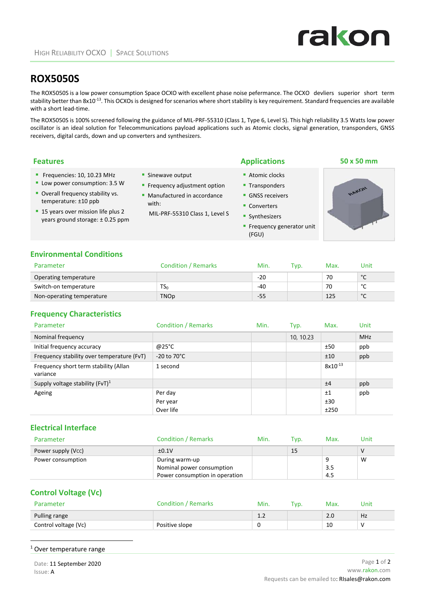# **ROX5050S**

The ROX5050S is a low power consumption Space OCXO with excellent phase noise pefermance. The OCXO devliers superior short term stability better than 8x10<sup>-13</sup>. This OCXOs is designed for scenarios where short stability is key requirement. Standard frequencies are available with a short lead-time.

The ROX5050S is 100% screened following the guidance of MIL‐PRF‐55310 (Class 1, Type 6, Level S). This high reliability 3.5 Watts low power oscillator is an ideal solution for Telecommunications payload applications such as Atomic clocks, signal generation, transponders, GNSS receivers, digital cards, down and up converters and synthesizers.

| <b>Features</b>                                                                                                                                                                                     |                                                                                                                             | <b>Applications</b>                                                                                                               | 50 x 50 mm   |
|-----------------------------------------------------------------------------------------------------------------------------------------------------------------------------------------------------|-----------------------------------------------------------------------------------------------------------------------------|-----------------------------------------------------------------------------------------------------------------------------------|--------------|
| Frequencies: $10, 10.23$ MHz<br>Low power consumption: 3.5 W<br>• Overall frequency stability vs.<br>temperature: ±10 ppb<br>■ 15 years over mission life plus 2<br>years ground storage: ±0.25 ppm | Sinewave output<br>■ Frequency adjustment option<br>• Manufactured in accordance<br>with:<br>MIL-PRF-55310 Class 1, Level S | Atomic clocks<br>■ Transponders<br>• GNSS receivers<br>• Converters<br>• Synthesizers<br><b>Frequency generator unit</b><br>(FGU) | <b>AAKON</b> |

#### **Environmental Conditions**

| Parameter                 | <b>Condition / Remarks</b> | Min.  | 'vp. | Max. | Unit         |
|---------------------------|----------------------------|-------|------|------|--------------|
| Operating temperature     |                            | $-20$ |      | 70   | $\circ$<br>֊ |
| Switch-on temperature     | ا کا                       | $-40$ |      | 70   | $\sim$<br>╰  |
| Non-operating temperature | <b>TNOp</b>                | -55   |      | 125  | $\circ$<br>๎ |

#### **Frequency Characteristics**

| Parameter                                         | <b>Condition / Remarks</b> | Min. | Typ.      | Max.         | Unit       |
|---------------------------------------------------|----------------------------|------|-----------|--------------|------------|
| Nominal frequency                                 |                            |      | 10, 10.23 |              | <b>MHz</b> |
| Initial frequency accuracy                        | @25°C                      |      |           | ±50          | ppb        |
| Frequency stability over temperature (FvT)        | $-20$ to $70^{\circ}$ C    |      |           | ±10          | ppb        |
| Frequency short term stability (Allan<br>variance | 1 second                   |      |           | $8x10^{-13}$ |            |
| Supply voltage stability $(FvT)^1$                |                            |      |           | ±4           | ppb        |
| Ageing                                            | Per day                    |      |           | ±1           | ppb        |
|                                                   | Per year                   |      |           | ±30          |            |
|                                                   | Over life                  |      |           | ±250         |            |

#### **Electrical Interface**

| Parameter          | <b>Condition / Remarks</b>     | Min. | Tvp. | Max. | Unit |
|--------------------|--------------------------------|------|------|------|------|
| Power supply (Vcc) | ±0.1V                          |      | 15   |      |      |
| Power consumption  | During warm-up                 |      |      |      | W    |
|                    | Nominal power consumption      |      |      | 3.5  |      |
|                    | Power consumption in operation |      |      | 4.5  |      |

# **Control Voltage (Vc)**

| Parameter            | <b>Condition / Remarks</b> | Min.    | TVD. | Max. | Jnit |
|----------------------|----------------------------|---------|------|------|------|
| Pulling range        |                            | <b></b> |      | 2.0  | Hz   |
| Control voltage (Vc) | Positive slope             |         |      | 10   |      |

#### <sup>1</sup> Over temperature range